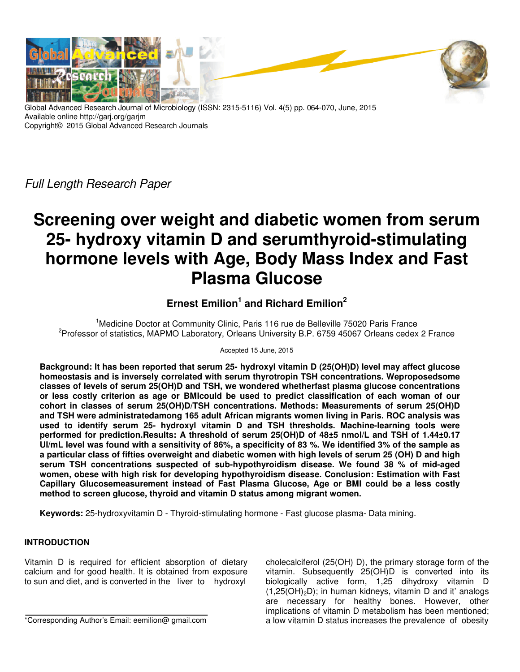

Global Advanced Research Journal of Microbiology (ISSN: 2315-5116) Vol. 4(5) pp. 064-070, June, 2015 Available online http://garj.org/garjm Copyright© 2015 Global Advanced Research Journals

Full Length Research Paper

# **Screening over weight and diabetic women from serum 25- hydroxy vitamin D and serumthyroid-stimulating hormone levels with Age, Body Mass Index and Fast Plasma Glucose**

# **Ernest Emilion<sup>1</sup> and Richard Emilion<sup>2</sup>**

<sup>1</sup>Medicine Doctor at Community Clinic, Paris 116 rue de Belleville 75020 Paris France <sup>2</sup> Professor of statistics, MAPMO Laboratory, Orleans University B.P. 6759 45067 Orleans cedex 2 France

Accepted 15 June, 2015

**Background: It has been reported that serum 25- hydroxyl vitamin D (25(OH)D) level may affect glucose homeostasis and is inversely correlated with serum thyrotropin TSH concentrations. Weproposedsome classes of levels of serum 25(OH)D and TSH, we wondered whetherfast plasma glucose concentrations or less costly criterion as age or BMIcould be used to predict classification of each woman of our cohort in classes of serum 25(OH)D/TSH concentrations. Methods: Measurements of serum 25(OH)D and TSH were administratedamong 165 adult African migrants women living in Paris. ROC analysis was used to identify serum 25- hydroxyl vitamin D and TSH thresholds. Machine-learning tools were performed for prediction.Results: A threshold of serum 25(OH)D of 48±5 nmol/L and TSH of 1.44±0.17 UI/mL level was found with a sensitivity of 86%, a specificity of 83 %. We identified 3% of the sample as a particular class of fifties overweight and diabetic women with high levels of serum 25 (OH) D and high serum TSH concentrations suspected of sub-hypothyroidism disease. We found 38 % of mid-aged women, obese with high risk for developing hypothyroidism disease. Conclusion: Estimation with Fast Capillary Glucosemeasurement instead of Fast Plasma Glucose, Age or BMI could be a less costly method to screen glucose, thyroid and vitamin D status among migrant women.** 

**Keywords:** 25-hydroxyvitamin D - Thyroid-stimulating hormone - Fast glucose plasma- Data mining.

# **INTRODUCTION**

Vitamin D is required for efficient absorption of dietary calcium and for good health. It is obtained from exposure to sun and diet, and is converted in the liver to hydroxyl

\*Corresponding Author's Email: eemilion@ gmail.com

cholecalciferol (25(OH) D), the primary storage form of the vitamin. Subsequently 25(OH)D is converted into its biologically active form, 1,25 dihydroxy vitamin D  $(1,25(OH)<sub>2</sub>D)$ ; in human kidneys, vitamin D and it' analogs are necessary for healthy bones. However, other implications of vitamin D metabolism has been mentioned; a low vitamin D status increases the prevalence of obesity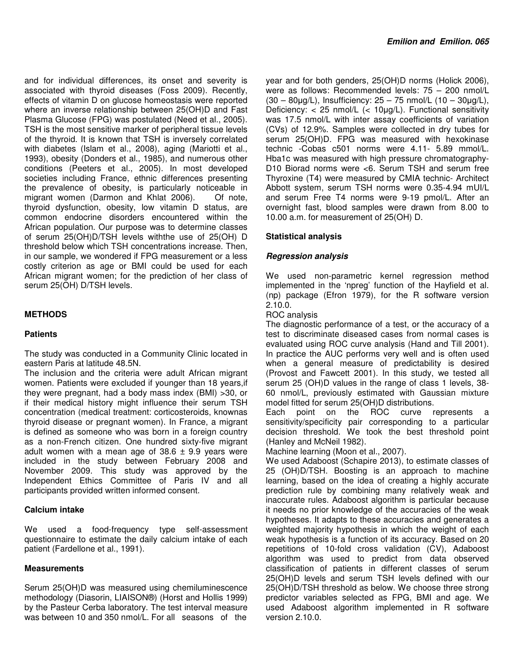and for individual differences, its onset and severity is associated with thyroid diseases (Foss 2009). Recently, effects of vitamin D on glucose homeostasis were reported where an inverse relationship between 25(OH)D and Fast Plasma Glucose (FPG) was postulated (Need et al., 2005). TSH is the most sensitive marker of peripheral tissue levels of the thyroid. It is known that TSH is inversely correlated with diabetes (Islam et al., 2008), aging (Mariotti et al., 1993), obesity (Donders et al., 1985), and numerous other conditions (Peeters et al., 2005). In most developed societies including France, ethnic differences presenting the prevalence of obesity, is particularly noticeable in migrant women (Darmon and Khlat 2006). Of note, thyroid dysfunction, obesity, low vitamin D status, are common endocrine disorders encountered within the African population. Our purpose was to determine classes of serum 25(OH)D/TSH levels withthe use of 25(OH) D threshold below which TSH concentrations increase. Then, in our sample, we wondered if FPG measurement or a less costly criterion as age or BMI could be used for each African migrant women; for the prediction of her class of serum 25(OH) D/TSH levels.

# **METHODS**

# **Patients**

The study was conducted in a Community Clinic located in eastern Paris at latitude 48.5N.

The inclusion and the criteria were adult African migrant women. Patients were excluded if younger than 18 years,if they were pregnant, had a body mass index (BMI) >30, or if their medical history might influence their serum TSH concentration (medical treatment: corticosteroids, knownas thyroid disease or pregnant women). In France, a migrant is defined as someone who was born in a foreign country as a non-French citizen. One hundred sixty-five migrant adult women with a mean age of  $38.6 \pm 9.9$  years were included in the study between February 2008 and November 2009. This study was approved by the Independent Ethics Committee of Paris IV and all participants provided written informed consent.

#### **Calcium intake**

We used a food-frequency type self-assessment questionnaire to estimate the daily calcium intake of each patient (Fardellone et al., 1991).

#### **Measurements**

Serum 25(OH)D was measured using chemiluminescence methodology (Diasorin, LIAISON®) (Horst and Hollis 1999) by the Pasteur Cerba laboratory. The test interval measure was between 10 and 350 nmol/L. For all seasons of the

year and for both genders, 25(OH)D norms (Holick 2006), were as follows: Recommended levels: 75 – 200 nmol/L  $(30 - 80 \mu g/L)$ , Insufficiency:  $25 - 75$  nmol/L  $(10 - 30 \mu g/L)$ , Deficiency: < 25 nmol/L (< 10µg/L). Functional sensitivity was 17.5 nmol/L with inter assay coefficients of variation (CVs) of 12.9%. Samples were collected in dry tubes for serum 25(OH)D. FPG was measured with hexokinase technic -Cobas c501 norms were 4.11- 5.89 mmol/L. Hba1c was measured with high pressure chromatography-D10 Biorad norms were <6. Serum TSH and serum free Thyroxine (T4) were measured by CMIA technic- Architect Abbott system, serum TSH norms were 0.35-4.94 mUI/L and serum Free T4 norms were 9-19 pmol/L. After an overnight fast, blood samples were drawn from 8.00 to 10.00 a.m. for measurement of 25(OH) D.

# **Statistical analysis**

# **Regression analysis**

We used non-parametric kernel regression method implemented in the 'npreg' function of the Hayfield et al. (np) package (Efron 1979), for the R software version 2.10.0.

ROC analysis

The diagnostic performance of a test, or the accuracy of a test to discriminate diseased cases from normal cases is evaluated using ROC curve analysis (Hand and Till 2001). In practice the AUC performs very well and is often used when a general measure of predictability is desired (Provost and Fawcett 2001). In this study, we tested all serum 25 (OH)D values in the range of class 1 levels, 38- 60 nmol/L, previously estimated with Gaussian mixture model fitted for serum 25(OH)D distributions.

Each point on the ROC curve represents a sensitivity/specificity pair corresponding to a particular decision threshold. We took the best threshold point (Hanley and McNeil 1982).

Machine learning (Moon et al., 2007).

We used Adaboost (Schapire 2013), to estimate classes of 25 (OH)D/TSH. Boosting is an approach to machine learning, based on the idea of creating a highly accurate prediction rule by combining many relatively weak and inaccurate rules. Adaboost algorithm is particular because it needs no prior knowledge of the accuracies of the weak hypotheses. It adapts to these accuracies and generates a weighted majority hypothesis in which the weight of each weak hypothesis is a function of its accuracy. Based on 20 repetitions of 10-fold cross validation (CV), Adaboost algorithm was used to predict from data observed classification of patients in different classes of serum 25(OH)D levels and serum TSH levels defined with our 25(OH)D/TSH threshold as below. We choose three strong predictor variables selected as FPG, BMI and age. We used Adaboost algorithm implemented in R software version 2.10.0.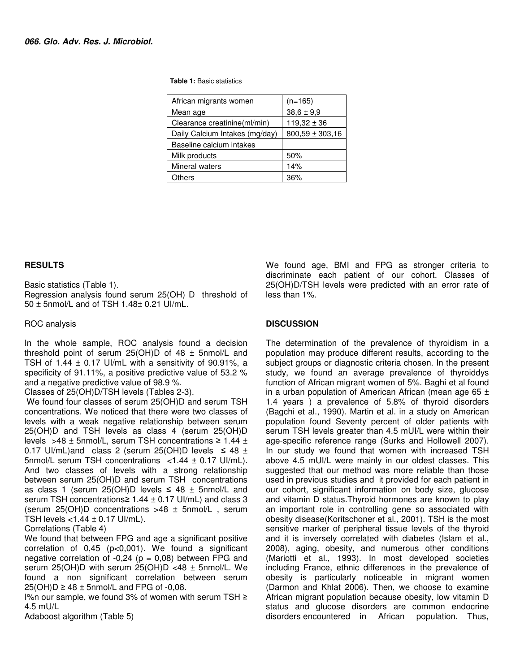#### **Table 1:** Basic statistics

| African migrants women         | $(n=165)$           |  |
|--------------------------------|---------------------|--|
| Mean age                       | $38,6 \pm 9,9$      |  |
| Clearance creatinine(ml/min)   | $119.32 \pm 36$     |  |
| Daily Calcium Intakes (mg/day) | $800,59 \pm 303,16$ |  |
| Baseline calcium intakes       |                     |  |
| Milk products                  | 50%                 |  |
| Mineral waters                 | 14%                 |  |
| Others                         | 36%                 |  |

#### **RESULTS**

Basic statistics (Table 1).

Regression analysis found serum 25(OH) D threshold of 50 ± 5nmol/L and of TSH 1.48± 0.21 UI/mL.

# ROC analysis

In the whole sample, ROC analysis found a decision threshold point of serum  $25(OH)D$  of 48  $\pm$  5nmol/L and TSH of 1.44  $\pm$  0.17 UI/mL with a sensitivity of 90.91%, a specificity of 91.11%, a positive predictive value of 53.2 % and a negative predictive value of 98.9 %.

Classes of 25(OH)D/TSH levels (Tables 2-3).

 We found four classes of serum 25(OH)D and serum TSH concentrations. We noticed that there were two classes of levels with a weak negative relationship between serum 25(OH)D and TSH levels as class 4 (serum 25(OH)D levels >48 ± 5nmol/L, serum TSH concentrations ≥ 1.44 ± 0.17 UI/mL)and class 2 (serum 25(OH)D levels  $\leq 48 \pm$ 5nmol/L serum TSH concentrations <1.44 ± 0.17 UI/mL). And two classes of levels with a strong relationship between serum 25(OH)D and serum TSH concentrations as class 1 (serum 25(OH)D levels  $\leq$  48  $\pm$  5nmol/L and serum TSH concentrations≥ 1.44 ± 0.17 UI/mL) and class 3 (serum 25(OH)D concentrations >48 ± 5nmol/L , serum TSH levels  $<$ 1.44  $\pm$  0.17 UI/mL).

#### Correlations (Table 4)

We found that between FPG and age a significant positive correlation of  $0.45$  ( $p<0.001$ ). We found a significant negative correlation of  $-0,24$  ( $p = 0,08$ ) between FPG and serum 25(OH)D with serum 25(OH)D <48 ± 5nmol/L. We found a non significant correlation between serum  $25(OH)D \ge 48 \pm 5$ nmol/L and FPG of -0,08.

I%n our sample, we found 3% of women with serum TSH ≥ 4.5 mU/L

Adaboost algorithm (Table 5)

We found age, BMI and FPG as stronger criteria to discriminate each patient of our cohort. Classes of 25(OH)D/TSH levels were predicted with an error rate of less than 1%.

# **DISCUSSION**

The determination of the prevalence of thyroidism in a population may produce different results, according to the subject groups or diagnostic criteria chosen. In the present study, we found an average prevalence of thyroiddys function of African migrant women of 5%. Baghi et al found in a urban population of American African (mean age 65  $\pm$ 1.4 years ) a prevalence of 5.8% of thyroid disorders (Bagchi et al., 1990). Martin et al. in a study on American population found Seventy percent of older patients with serum TSH levels greater than 4.5 mUI/L were within their age-specific reference range (Surks and Hollowell 2007). In our study we found that women with increased TSH above 4.5 mUI/L were mainly in our oldest classes. This suggested that our method was more reliable than those used in previous studies and it provided for each patient in our cohort, significant information on body size, glucose and vitamin D status.Thyroid hormones are known to play an important role in controlling gene so associated with obesity disease(Koritschoner et al., 2001). TSH is the most sensitive marker of peripheral tissue levels of the thyroid and it is inversely correlated with diabetes (Islam et al., 2008), aging, obesity, and numerous other conditions (Mariotti et al., 1993). In most developed societies including France, ethnic differences in the prevalence of obesity is particularly noticeable in migrant women (Darmon and Khlat 2006). Then, we choose to examine African migrant population because obesity, low vitamin D status and glucose disorders are common endocrine disorders encountered in African population. Thus,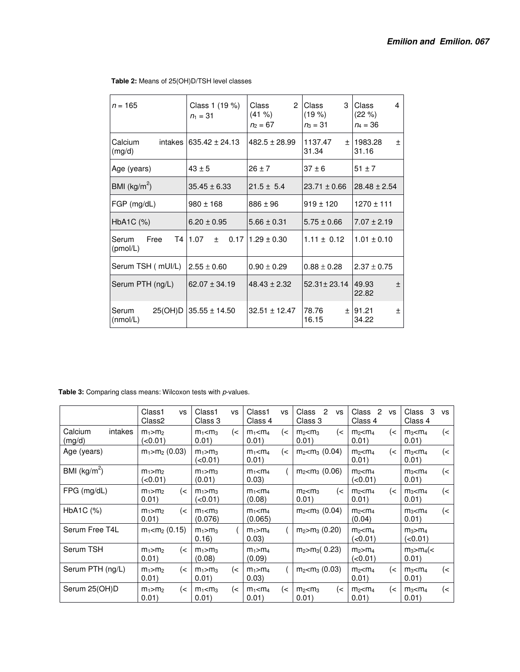| $n = 165$                 | Class 1 (19 %)<br>$n_1 = 31$       | $\mathcal{P}$<br>Class<br>$(41\% )$<br>$n_2 = 67$ | <b>Class</b><br>3<br>(19%)<br>$n_3 = 31$ | Class<br>4<br>(22 %)<br>$n_4 = 36$ |
|---------------------------|------------------------------------|---------------------------------------------------|------------------------------------------|------------------------------------|
| Calcium<br>(mg/d)         | intakes $ 635.42 \pm 24.13 $       | $482.5 \pm 28.99$                                 | 1137.47<br>$\pm$<br>31.34                | 1983.28<br>$\pm$<br>31.16          |
| Age (years)               | $43 \pm 5$                         | $26 \pm 7$                                        | $37 \pm 6$                               | $51 \pm 7$                         |
| BMI $(kg/m^2)$            | $35.45 \pm 6.33$<br>$21.5 \pm 5.4$ |                                                   | $23.71 \pm 0.66$                         | $28.48 \pm 2.54$                   |
| $FGP$ (mg/dL)             | $980 \pm 168$                      | $886 \pm 96$                                      | $919 \pm 120$                            | $1270 \pm 111$                     |
| $HbA1C$ $(\%)$            | $6.20 \pm 0.95$                    | $5.66 \pm 0.31$                                   | $5.75 \pm 0.66$                          | $7.07 \pm 2.19$                    |
| Free<br>Serum<br>(pmol/L) | T4 1.07<br>$\pm$                   | $0.1711.29 \pm 0.30$                              | $1.11 \pm 0.12$                          | $1.01 \pm 0.10$                    |
| Serum TSH ( mUI/L)        | $2.55 \pm 0.60$                    | $0.90 \pm 0.29$                                   | $0.88 \pm 0.28$                          | $2.37 \pm 0.75$                    |
| Serum PTH (ng/L)          | $62.07 \pm 34.19$                  | $48.43 \pm 2.32$                                  | $52.31 \pm 23.14$                        | 149.93<br>土<br>22.82               |
| Serum<br>(nmol/L)         | $25(OH)D$ 35.55 ± 14.50            | $32.51 \pm 12.47$                                 | 78.76<br>16.15                           | ± 191.21<br>土<br>34.22             |

#### **Table 2:** Means of 25(OH)D/TSH level classes

Table 3: Comparing class means: Wilcoxon tests with p-values.

|                              | Class1<br><b>VS</b><br>Class2              | Class1<br><b>VS</b><br>Class 3               | Class1<br>vs<br>Class 4              | $\overline{2}$<br>Class<br><b>VS</b><br>Class 3 | Class<br>$\overline{2}$<br><b>VS</b><br>Class 4 | Class<br>3<br><b>VS</b><br>Class 4 |
|------------------------------|--------------------------------------------|----------------------------------------------|--------------------------------------|-------------------------------------------------|-------------------------------------------------|------------------------------------|
| Calcium<br>intakes<br>(mq/d) | $m_1 > m_2$<br>(<0.01)                     | $m_1 < m_3$<br>$\left($ $\lt$<br>0.01)       | $\left($ <<br>$m_1$ < $m_4$<br>0.01) | (<<br>m <sub>2</sub> < m <sub>3</sub><br>0.01)  | (<<br>m <sub>2</sub> < m <sub>4</sub><br>0.01)  | (<<br>$m_3$ $m_4$<br>0.01)         |
| Age (years)                  | $m_1 > m_2 (0.03)$                         | $m_1 > m_3$<br>(<0.01)                       | $\left($ <<br>$m_1 < m_4$<br>0.01)   | $m_2 < m_3$ (0.04)                              | m <sub>2</sub> < m <sub>4</sub><br>(<<br>0.01)  | $m_3$ $m_4$<br>(<<br>0.01)         |
| BMI $(kg/m^2)$               | $m_1 > m_2$<br>(<0.01)                     | $m_1 > m_3$<br>(0.01)                        | $m_1$ < $m_4$<br>0.03)               | $m_2$ <m<sub>3 (0.06)</m<sub>                   | $m_2$ $<$ $m_4$<br>(<0.01)                      | $m_3$ < $m_4$<br>(<<br>0.01)       |
| $FPG$ (mg/dL)                | $\left( < \right)$<br>$m_1 > m_2$<br>0.01) | $m_1 > m_3$<br>(<0.01)                       | $m_1$ < $m_4$<br>(0.08)              | (<<br>m <sub>2</sub> < m <sub>3</sub><br>0.01)  | (<<br>$m_2$ < $m_4$<br>0.01)                    | (<<br>$m_3$ < $m_4$<br>0.01)       |
| $HbA1C$ $(%)$                | $\left($ $\right)$<br>$m_1 > m_2$<br>0.01) | $m_1 < m_3$<br>(0.076)                       | $m_1 < m_4$<br>(0.065)               | $m_2$ (0.04)                                    | $m_2$ $<$ $m_4$<br>(0.04)                       | $m_3$ < $m_4$<br>(<<br>0.01)       |
| Serum Free T4L               | $m_1 < m_2 (0.15)$                         | $m_1 > m_3$<br>0.16                          | $m_1 > m_4$<br>0.03)                 | $m2$ $m3$ (0.20)                                | $m_2$ $m_4$<br>( <0.01)                         | $m_3 > m_4$<br>(<0.01)             |
| Serum TSH                    | (<<br>$m_1 > m_2$<br>0.01)                 | $m_1 > m_3$<br>(0.08)                        | $m_1 > m_4$<br>(0.09)                | $m_2 > m_3(0.23)$                               | $m_2 > m_4$<br>(<0.01)                          | $m_3 > m_4$ (<<br>0.01)            |
| Serum PTH (ng/L)             | $\left($ $\lt$<br>$m_1 > m_2$<br>0.01)     | $m_1 > m_3$<br>$\left($ $\lt$<br>0.01)       | $m_1 > m_4$<br>0.03)                 | $m_2$ (0.03)                                    | m <sub>2</sub> < m <sub>4</sub><br>(<<br>0.01)  | (<<br>$m_3$ $m_4$<br>0.01)         |
| Serum 25(OH)D                | $\left($ $\right)$<br>$m_1 > m_2$<br>0.01) | $m_1$ < $m_3$<br>$\left($ $\right)$<br>0.01) | $\left($ <<br>$m_1$ < $m_4$<br>0.01) | (<<br>m <sub>2</sub> < m <sub>3</sub><br>0.01)  | (<<br>m <sub>2</sub> < m <sub>4</sub><br>0.01)  | (<<br>$m_3$ $\leq m_4$<br>0.01)    |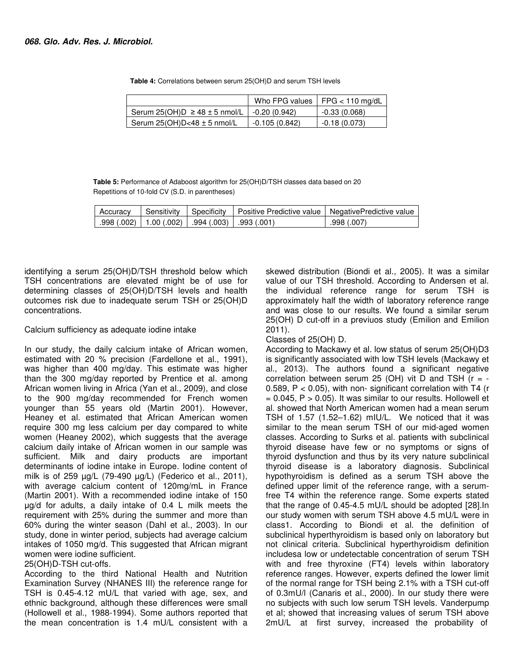|                                       | Who FPG values  | $FFG < 110$ mg/dL |
|---------------------------------------|-----------------|-------------------|
| Serum 25(OH)D $\ge$ 48 $\pm$ 5 nmol/L | -0.20 (0.942)   | $-0.33(0.068)$    |
| Serum $25(OH)D<48 \pm 5$ nmol/L       | $-0.105(0.842)$ | -0.18 (0.073)     |

 **Table 4:** Correlations between serum 25(OH)D and serum TSH levels

**Table 5:** Performance of Adaboost algorithm for 25(OH)D/TSH classes data based on 20 Repetitions of 10-fold CV (S.D. in parentheses)

| Accuracy | Sensitivity | Specificity                                                | Positive Predictive value   NegativePredictive value |             |
|----------|-------------|------------------------------------------------------------|------------------------------------------------------|-------------|
|          |             | $.998(.002)$   1.00 $(.002)$   $.994(.003)$   $.993(.001)$ |                                                      | .998 (.007) |

identifying a serum 25(OH)D/TSH threshold below which TSH concentrations are elevated might be of use for determining classes of 25(OH)D/TSH levels and health outcomes risk due to inadequate serum TSH or 25(OH)D concentrations.

# Calcium sufficiency as adequate iodine intake

In our study, the daily calcium intake of African women, estimated with 20 % precision (Fardellone et al., 1991), was higher than 400 mg/day. This estimate was higher than the 300 mg/day reported by Prentice et al. among African women living in Africa (Yan et al., 2009), and close to the 900 mg/day recommended for French women younger than 55 years old (Martin 2001). However, Heaney et al. estimated that African American women require 300 mg less calcium per day compared to white women (Heaney 2002), which suggests that the average calcium daily intake of African women in our sample was sufficient. Milk and dairy products are important determinants of iodine intake in Europe. Iodine content of milk is of 259 µg/L (79-490 µg/L) (Federico et al., 2011), with average calcium content of 120mg/mL in France (Martin 2001). With a recommended iodine intake of 150 µg/d for adults, a daily intake of 0.4 L milk meets the requirement with 25% during the summer and more than 60% during the winter season (Dahl et al., 2003). In our study, done in winter period, subjects had average calcium intakes of 1050 mg/d. This suggested that African migrant women were iodine sufficient.

25(OH)D-TSH cut-offs.

According to the third National Health and Nutrition Examination Survey (NHANES III) the reference range for TSH is 0.45-4.12 mU/L that varied with age, sex, and ethnic background, although these differences were small (Hollowell et al., 1988-1994). Some authors reported that the mean concentration is 1.4 mU/L consistent with a

skewed distribution (Biondi et al., 2005). It was a similar value of our TSH threshold. According to Andersen et al. the individual reference range for serum TSH is approximately half the width of laboratory reference range and was close to our results. We found a similar serum 25(OH) D cut-off in a previuos study (Emilion and Emilion 2011).

# Classes of 25(OH) D.

According to Mackawy et al. low status of serum 25(OH)D3 is significantly associated with low TSH levels (Mackawy et al., 2013). The authors found a significant negative correlation between serum 25 (OH) vit D and TSH ( $r = -$ 0.589, P < 0.05), with non- significant correlation with T4 (r  $= 0.045$ ,  $P > 0.05$ ). It was similar to our results. Hollowell et al. showed that North American women had a mean serum TSH of 1.57 (1.52–1.62) mIU/L. We noticed that it was similar to the mean serum TSH of our mid-aged women classes. According to Surks et al. patients with subclinical thyroid disease have few or no symptoms or signs of thyroid dysfunction and thus by its very nature subclinical thyroid disease is a laboratory diagnosis. Subclinical hypothyroidism is defined as a serum TSH above the defined upper limit of the reference range, with a serumfree T4 within the reference range. Some experts stated that the range of 0.45-4.5 mU/L should be adopted [28].In our study women with serum TSH above 4.5 mU/L were in class1. According to Biondi et al. the definition of subclinical hyperthyroidism is based only on laboratory but not clinical criteria. Subclinical hyperthyroidism definition includesa low or undetectable concentration of serum TSH with and free thyroxine (FT4) levels within laboratory reference ranges. However, experts defined the lower limit of the normal range for TSH being 2.1% with a TSH cut-off of 0.3mU/l (Canaris et al., 2000). In our study there were no subjects with such low serum TSH levels. Vanderpump et al; showed that increasing values of serum TSH above 2mU/L at first survey, increased the probability of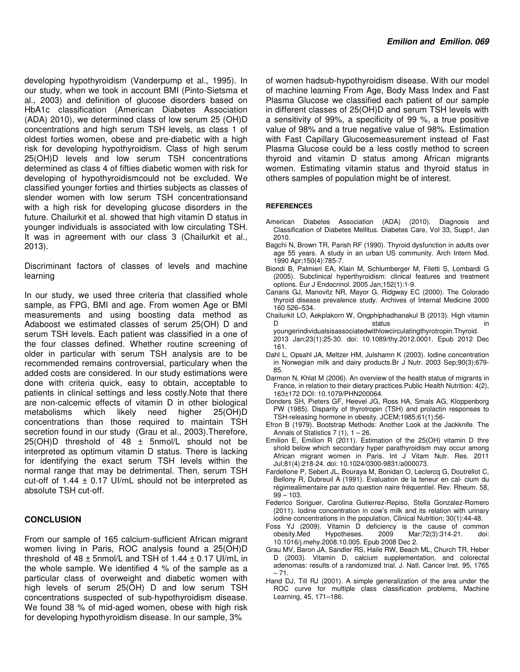developing hypothyroidism (Vanderpump et al., 1995). In our study, when we took in account BMI (Pinto-Sietsma et al., 2003) and definition of glucose disorders based on HbA1c classification (American Diabetes Association (ADA) 2010), we determined class of low serum 25 (OH)D concentrations and high serum TSH levels, as class 1 of oldest forties women, obese and pre-diabetic with a high risk for developing hypothyroidism. Class of high serum 25(OH)D levels and low serum TSH concentrations determined as class 4 of fifties diabetic women with risk for developing of hypothyroidismcould not be excluded. We classified younger forties and thirties subjects as classes of slender women with low serum TSH concentrationsand with a high risk for developing glucose disorders in the future. Chailurkit et al. showed that high vitamin D status in younger individuals is associated with low circulating TSH. It was in agreement with our class 3 (Chailurkit et al., 2013).

Discriminant factors of classes of levels and machine learning

In our study, we used three criteria that classified whole sample, as FPG, BMI and age. From women Age or BMI measurements and using boosting data method as Adaboost we estimated classes of serum 25(OH) D and serum TSH levels. Each patient was classified in a one of the four classes defined. Whether routine screening of older in particular with serum TSH analysis are to be recommended remains controversial, particulary when the added costs are considered. In our study estimations were done with criteria quick, easy to obtain, acceptable to patients in clinical settings and less costly.Note that there are non-calcemic effects of vitamin D in other biological metabolisms which likely need higher 25(OH)D concentrations than those required to maintain TSH secretion found in our study (Grau et al., 2003).Therefore,  $25(OH)D$  threshold of 48  $\pm$  5nmol/L should not be interpreted as optimum vitamin D status. There is lacking for identifying the exact serum TSH levels within the normal range that may be detrimental. Then, serum TSH cut-off of 1.44  $\pm$  0.17 UI/mL should not be interpreted as absolute TSH cut-off.

#### **CONCLUSION**

From our sample of 165 calcium-sufficient African migrant women living in Paris, ROC analysis found a 25(OH)D threshold of  $48 \pm 5$ nmol/L and TSH of  $1.44 \pm 0.17$  UI/mL in the whole sample. We identified 4 % of the sample as a particular class of overweight and diabetic women with high levels of serum 25(OH) D and low serum TSH concentrations suspected of sub-hypothyroidism disease. We found 38 % of mid-aged women, obese with high risk for developing hypothyroidism disease. In our sample, 3%

of women hadsub-hypothyroidism disease. With our model of machine learning From Age, Body Mass Index and Fast Plasma Glucose we classified each patient of our sample in different classes of 25(OH)D and serum TSH levels with a sensitivity of 99%, a specificity of 99 %, a true positive value of 98% and a true negative value of 98%. Estimation with Fast Capillary Glucosemeasurement instead of Fast Plasma Glucose could be a less costly method to screen thyroid and vitamin D status among African migrants women. Estimating vitamin status and thyroid status in others samples of population might be of interest.

#### **REFERENCES**

- American Diabetes Association (ADA) (2010). Diagnosis and Classification of Diabetes Mellitus. Diabetes Care, Vol 33, Supp1, Jan 2010.
- Bagchi N, Brown TR, Parish RF (1990). Thyroid dysfunction in adults over age 55 years. A study in an urban US community. Arch Intern Med. 1990 Apr;150(4):785-7.
- Biondi B, Palmieri EA, Klain M, Schlumberger M, Filetti S, Lombardi G (2005). Subclinical hyperthyroidism: clinical features and treatment options. Eur J Endocrinol. 2005 Jan;152(1):1-9.
- Canaris GJ, Manovitz NR, Mayor G, Ridgway EC (2000). The Colorado thyroid disease prevalence study. Archives of Internal Medicine 2000 160 526–534.
- Chailurkit LO, Aekplakorn W, Ongphiphadhanakul B (2013). High vitamin D status in
- youngerindividualsisassociatedwithlowcirculatingthyrotropin.Thyroid. 2013 Jan;23(1):25-30. doi: 10.1089/thy.2012.0001. Epub 2012 Dec 161.
- Dahl L, Opsahl JA, Meltzer HM, Julshamn K (2003). Iodine concentration in Norwegian milk and dairy products.Br J Nutr. 2003 Sep;90(3):679- 85.
- Darmon N, Khlat M (2006). An overview of the health status of migrants in France, in relation to their dietary practices.Public Health Nutrition: 4(2), 163±172 DOI: 10.1079/PHN200064.
- Donders SH, Pieters GF, Heevel JG, Ross HA, Smals AG, Kloppenborg PW (1985). Disparity of thyrotropin (TSH) and prolactin responses to TSH-releasing hormone in obesity. JCEM;1985;61(1):56-
- Efron B (1979). Bootstrap Methods: Another Look at the Jackknife. The Annals of Statistics  $7(1)$ ,  $1 - 26$ .
- Emilion E, Emilion R (2011). Estimation of the 25(OH) vitamin D thre shold below which secondary hyper parathyroidism may occur among African migrant women in Paris. Int J Vitam Nutr. Res. 2011 Jul;81(4):218-24. doi: 10.1024/0300-9831/a000073.
- Fardellone P, Sebert JL, Bouraya M, Bonidan O, Leclercq G, Doutrellot C, Bellony R, Dubreuil A (1991). Evaluation de la teneur en cal- cium du régimealimentaire par auto question naire fréquentiel. Rev. Rheum. 58,  $99 - 103$ .
- Federico Soriguer, Carolina Gutierrez-Repiso, Stella Gonzalez-Romero (2011). Iodine concentration in cow's milk and its relation with urinary iodine concentrations in the population, Clinical Nutrition; 30(1):44-48.
- Foss YJ (2009). Vitamin D deficiency is the cause of common obesity.Med Hypotheses. 2009 Mar;72(3):314-21. doi: 10.1016/j.mehy.2008.10.005. Epub 2008 Dec 2.
- Grau MV, Baron JA, Sandler RS, Haile RW, Beach ML, Church TR, Heber D (2003). Vitamin D, calcium supplementation, and colorectal adenomas: results of a randomized trial. J. Natl. Cancer Inst. 95, 1765  $-71.$
- Hand DJ, Till RJ (2001). A simple generalization of the area under the ROC curve for multiple class classification problems, Machine Learning, 45, 171–186.